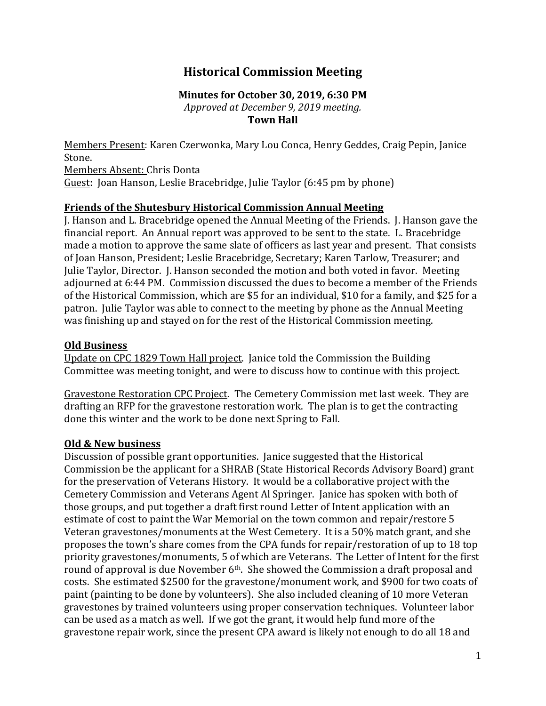# **Historical Commission Meeting**

### **Minutes for October 30, 2019, 6:30 PM**

*Approved at December 9, 2019 meeting.* **Town Hall**

Members Present: Karen Czerwonka, Mary Lou Conca, Henry Geddes, Craig Pepin, Janice Stone. Members Absent: Chris Donta Guest: Joan Hanson, Leslie Bracebridge, Julie Taylor (6:45 pm by phone)

## **Friends of the Shutesbury Historical Commission Annual Meeting**

J. Hanson and L. Bracebridge opened the Annual Meeting of the Friends. J. Hanson gave the financial report. An Annual report was approved to be sent to the state. L. Bracebridge made a motion to approve the same slate of officers as last year and present. That consists of Joan Hanson, President; Leslie Bracebridge, Secretary; Karen Tarlow, Treasurer; and Julie Taylor, Director. J. Hanson seconded the motion and both voted in favor. Meeting adjourned at 6:44 PM. Commission discussed the dues to become a member of the Friends of the Historical Commission, which are \$5 for an individual, \$10 for a family, and \$25 for a patron. Julie Taylor was able to connect to the meeting by phone as the Annual Meeting was finishing up and stayed on for the rest of the Historical Commission meeting.

#### **Old Business**

Update on CPC 1829 Town Hall project. Janice told the Commission the Building Committee was meeting tonight, and were to discuss how to continue with this project.

Gravestone Restoration CPC Project. The Cemetery Commission met last week. They are drafting an RFP for the gravestone restoration work. The plan is to get the contracting done this winter and the work to be done next Spring to Fall.

## **Old & New business**

Discussion of possible grant opportunities. Janice suggested that the Historical Commission be the applicant for a SHRAB (State Historical Records Advisory Board) grant for the preservation of Veterans History. It would be a collaborative project with the Cemetery Commission and Veterans Agent Al Springer. Janice has spoken with both of those groups, and put together a draft first round Letter of Intent application with an estimate of cost to paint the War Memorial on the town common and repair/restore 5 Veteran gravestones/monuments at the West Cemetery. It is a 50% match grant, and she proposes the town's share comes from the CPA funds for repair/restoration of up to 18 top priority gravestones/monuments, 5 of which are Veterans. The Letter of Intent for the first round of approval is due November 6<sup>th</sup>. She showed the Commission a draft proposal and costs. She estimated \$2500 for the gravestone/monument work, and \$900 for two coats of paint (painting to be done by volunteers). She also included cleaning of 10 more Veteran gravestones by trained volunteers using proper conservation techniques. Volunteer labor can be used as a match as well. If we got the grant, it would help fund more of the gravestone repair work, since the present CPA award is likely not enough to do all 18 and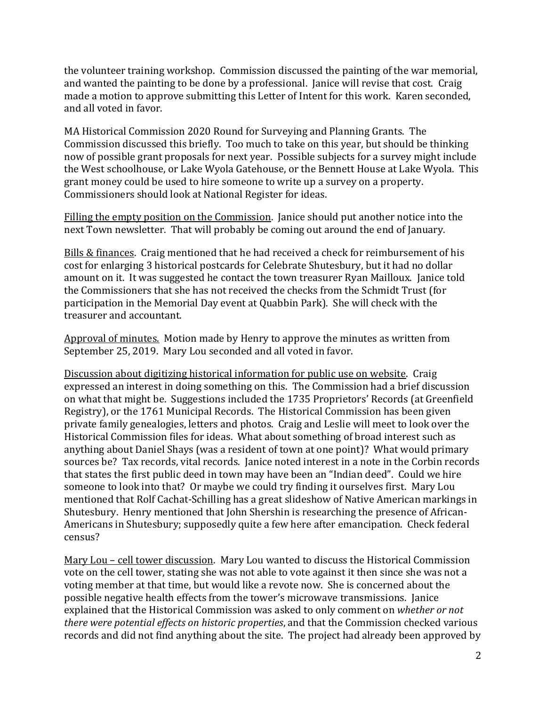the volunteer training workshop. Commission discussed the painting of the war memorial, and wanted the painting to be done by a professional. Janice will revise that cost. Craig made a motion to approve submitting this Letter of Intent for this work. Karen seconded, and all voted in favor.

MA Historical Commission 2020 Round for Surveying and Planning Grants. The Commission discussed this briefly. Too much to take on this year, but should be thinking now of possible grant proposals for next year. Possible subjects for a survey might include the West schoolhouse, or Lake Wyola Gatehouse, or the Bennett House at Lake Wyola. This grant money could be used to hire someone to write up a survey on a property. Commissioners should look at National Register for ideas.

Filling the empty position on the Commission. Janice should put another notice into the next Town newsletter. That will probably be coming out around the end of January.

Bills & finances. Craig mentioned that he had received a check for reimbursement of his cost for enlarging 3 historical postcards for Celebrate Shutesbury, but it had no dollar amount on it. It was suggested he contact the town treasurer Ryan Mailloux. Janice told the Commissioners that she has not received the checks from the Schmidt Trust (for participation in the Memorial Day event at Quabbin Park). She will check with the treasurer and accountant.

Approval of minutes. Motion made by Henry to approve the minutes as written from September 25, 2019. Mary Lou seconded and all voted in favor.

Discussion about digitizing historical information for public use on website. Craig expressed an interest in doing something on this. The Commission had a brief discussion on what that might be. Suggestions included the 1735 Proprietors' Records (at Greenfield Registry), or the 1761 Municipal Records. The Historical Commission has been given private family genealogies, letters and photos. Craig and Leslie will meet to look over the Historical Commission files for ideas. What about something of broad interest such as anything about Daniel Shays (was a resident of town at one point)? What would primary sources be? Tax records, vital records. Janice noted interest in a note in the Corbin records that states the first public deed in town may have been an "Indian deed". Could we hire someone to look into that? Or maybe we could try finding it ourselves first. Mary Lou mentioned that Rolf Cachat-Schilling has a great slideshow of Native American markings in Shutesbury. Henry mentioned that John Shershin is researching the presence of African-Americans in Shutesbury; supposedly quite a few here after emancipation. Check federal census?

Mary Lou – cell tower discussion. Mary Lou wanted to discuss the Historical Commission vote on the cell tower, stating she was not able to vote against it then since she was not a voting member at that time, but would like a revote now. She is concerned about the possible negative health effects from the tower's microwave transmissions. Janice explained that the Historical Commission was asked to only comment on *whether or not there were potential effects on historic properties*, and that the Commission checked various records and did not find anything about the site. The project had already been approved by